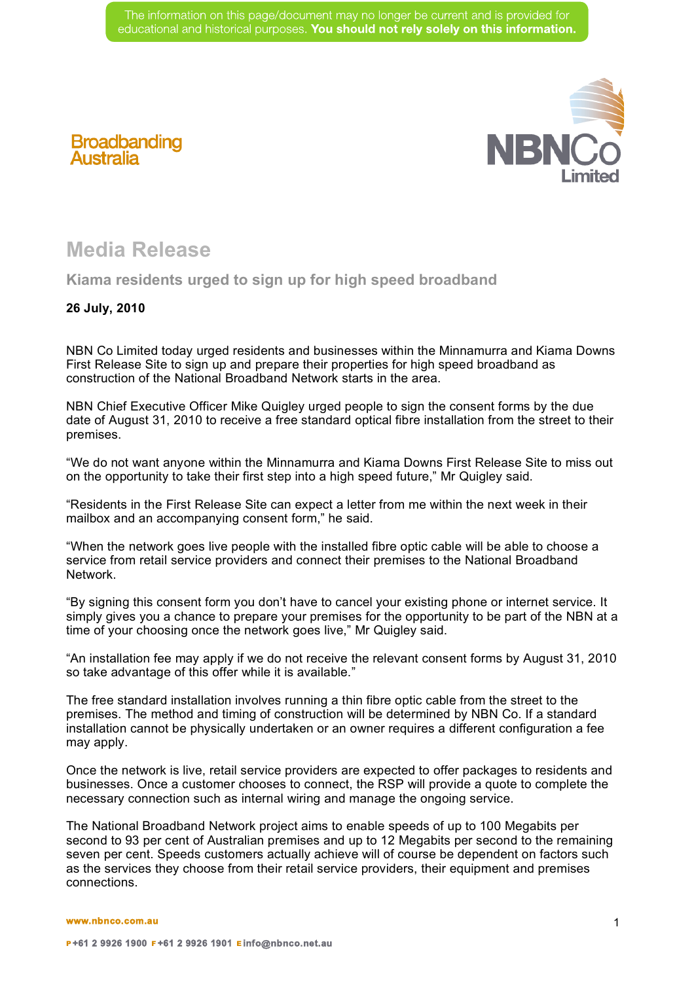

## **Broadbanding Australia**

## **Media Release**

**Kiama residents urged to sign up for high speed broadband**

## **26 July, 2010**

NBN Co Limited today urged residents and businesses within the Minnamurra and Kiama Downs First Release Site to sign up and prepare their properties for high speed broadband as construction of the National Broadband Network starts in the area.

NBN Chief Executive Officer Mike Quigley urged people to sign the consent forms by the due date of August 31, 2010 to receive a free standard optical fibre installation from the street to their premises.

"We do not want anyone within the Minnamurra and Kiama Downs First Release Site to miss out on the opportunity to take their first step into a high speed future," Mr Quigley said.

"Residents in the First Release Site can expect a letter from me within the next week in their mailbox and an accompanying consent form," he said.

"When the network goes live people with the installed fibre optic cable will be able to choose a service from retail service providers and connect their premises to the National Broadband Network.

"By signing this consent form you don't have to cancel your existing phone or internet service. It simply gives you a chance to prepare your premises for the opportunity to be part of the NBN at a time of your choosing once the network goes live," Mr Quigley said.

"An installation fee may apply if we do not receive the relevant consent forms by August 31, 2010 so take advantage of this offer while it is available."

The free standard installation involves running a thin fibre optic cable from the street to the premises. The method and timing of construction will be determined by NBN Co. If a standard installation cannot be physically undertaken or an owner requires a different configuration a fee may apply.

Once the network is live, retail service providers are expected to offer packages to residents and businesses. Once a customer chooses to connect, the RSP will provide a quote to complete the necessary connection such as internal wiring and manage the ongoing service.

The National Broadband Network project aims to enable speeds of up to 100 Megabits per second to 93 per cent of Australian premises and up to 12 Megabits per second to the remaining seven per cent. Speeds customers actually achieve will of course be dependent on factors such as the services they choose from their retail service providers, their equipment and premises connections.

## **www.nbnco.com.au**